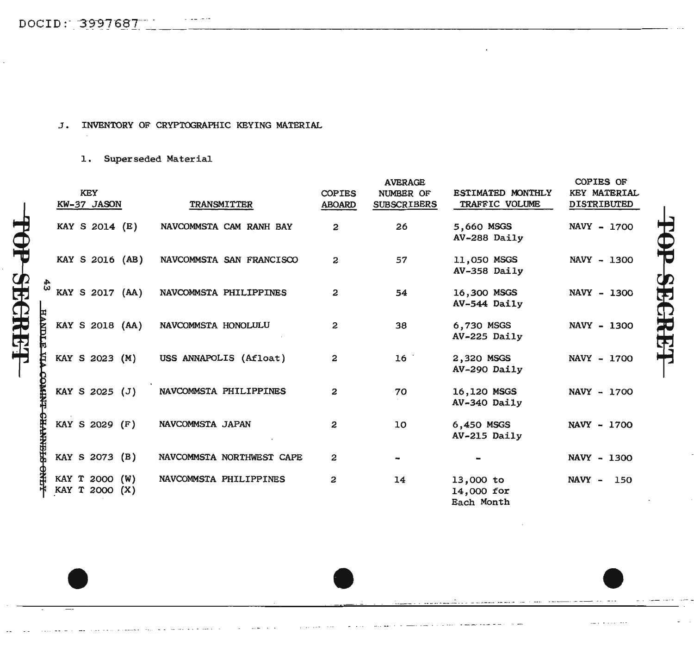OP-SEGREEF

## J. INVENTORY OF CRYPTOGRAPHIC KEYING MATERIAL

## 1. Superseded Material

|                   | <b>KEY</b>                       |                           | <b>COPIES</b> | <b>AVERAGE</b><br>NUMBER OF | ESTIMATED MONTHLY                     | <b>COPIES OF</b><br><b>KEY MATERIAL</b> |
|-------------------|----------------------------------|---------------------------|---------------|-----------------------------|---------------------------------------|-----------------------------------------|
|                   | KW-37 JASON                      | TRANSMITTER               | <b>ABOARD</b> | <b>SUBSCRIBERS</b>          | TRAFFIC VOLUME                        | <b>DISTRIBUTED</b>                      |
|                   | KAY S 2014 (E)                   | NAVCOMMSTA CAM RANH BAY   | 2             | 26                          | 5,660 MSGS<br>AV-288 Daily            | NAVY - 1700                             |
|                   | KAY S 2016 (AB)                  | NAVCOMMSTA SAN FRANCISCO  | 2             | 57                          | 11,050 MSGS<br>AV-358 Daily           | NAVY - 1300                             |
| 43                | KAY S 2017 (AA)                  | NAVCOMMSTA PHILIPPINES    | 2             | 54                          | 16,300 MSGS<br>AV-544 Daily           | NAVY - 1300                             |
| <b>TONVH</b><br>Ħ | KAY S 2018 (AA)                  | NAVCOMMSTA HONOLULU       | 2             | 38                          | 6,730 MSGS<br>AV-225 Daily            | NAVY - 1300                             |
| ₿                 | KAY S 2023 (M)                   | USS ANNAPOLIS (Afloat)    | 2             | 16 <sup>°</sup>             | 2,320 MSGS<br>AV-290 Daily            | NAVY - 1700                             |
| 经非有               | KAY S 2025 (J)                   | NAVCOMMSTA PHILIPPINES    | 2             | 70                          | 16,120 MSGS<br>AV-340 Daily           | NAVY - 1700                             |
| <b>SEENINFES</b>  | KAY S 2029 (F)                   | NAVCOMMSTA JAPAN          | 2             | 10                          | 6,450 MSGS<br>AV-215 Daily            | NAVY - 1700                             |
|                   | KAY S 2073 (B)                   | NAVCOMMSTA NORTHWEST CAPE | 2             |                             |                                       | NAVY - 1300                             |
|                   | KAY T 2000 (W)<br>KAY T 2000 (X) | NAVCOMMSTA PHILIPPINES    | 2             | 14                          | 13,000 to<br>14,000 for<br>Each Month | NAVY - 150                              |

P SECRET

 $\bullet$   $\bullet$   $\bullet$   $\bullet$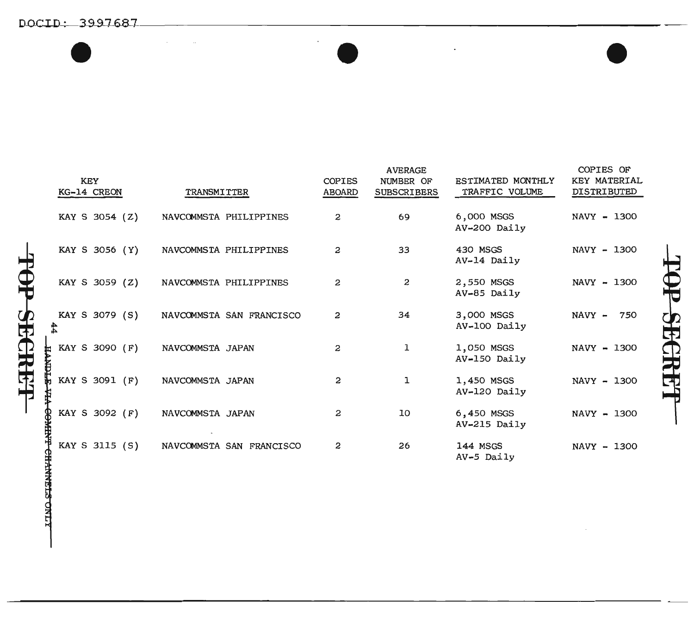DOCID: 3997687  $\bullet$   $\bullet$   $\bullet$   $\bullet$   $\bullet$ 

|    | <b>KEY</b><br>KG-14 CREON | TRANSMITTER              | <b>COPIES</b><br><b>ABOARD</b> | <b>AVERAGE</b><br>NUMBER OF<br><b>SUBSCRIBERS</b> | ESTIMATED MONTHLY<br>TRAFFIC VOLUME | COPIES OF<br><b>KEY MATERIAL</b><br>DISTRIBUTED |
|----|---------------------------|--------------------------|--------------------------------|---------------------------------------------------|-------------------------------------|-------------------------------------------------|
|    | KAY S 3054 (Z)            | NAVCOMMSTA PHILIPPINES   | 2                              | 69                                                | 6,000 MSGS<br>AV-200 Daily          | NAVY - 1300                                     |
|    | KAY S 3056 (Y)            | NAVCOMMSTA PHILIPPINES   | 2                              | 33                                                | 430 MSGS<br>AV-14 Daily             | NAVY - 1300                                     |
|    | KAY S 3059 (Z)            | NAVCOMMSTA PHILIPPINES   | 2                              | 2                                                 | 2,550 MSGS<br>AV-85 Daily           | NAVY - 1300                                     |
| 42 | KAY S 3079 (S)<br>4       | NAVCOMMSTA SAN FRANCISCO | 2                              | 34                                                | 3,000 MSGS<br>AV-100 Daily          | NAVY - 750                                      |
|    | KAY S 3090 (F)<br>ŧ       | NAVCOMMSTA JAPAN         | 2                              | ı                                                 | 1,050 MSGS<br>AV-150 Daily          | NAVY - 1300                                     |
| ß  | KAY S 3091 (F)            | NAVCOMMSTA JAPAN         | 2                              | ı                                                 | 1,450 MSGS<br>AV-120 Daily          | NAVY - 1300                                     |
|    | KAY S 3092 (F)            | NAVCOMMSTA JAPAN         | 2                              | 10                                                | 6,450 MSGS<br>AV-215 Daily          | NAVY - 1300                                     |
|    | KAY S 3115 (S)<br>¥       | NAVCOMMSTA SAN FRANCISCO | 2                              | 26                                                | 144 MSGS<br>AV-5 Daily              | NAVY - 1300                                     |

**FOP SEGRET** 

**HANNELS ONLY**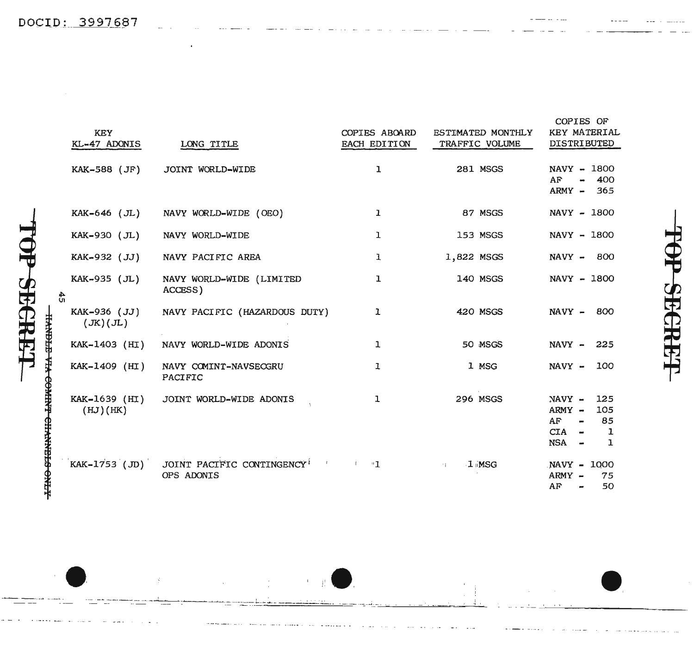|    | <b>KEY</b><br>KL-47 ADONIS | LONG TITLE                              | COPIES ABOARD<br>EACH EDITION      | ESTIMATED MONTHLY<br>TRAFFIC VOLUME | COPIES OF<br>KEY MATERIAL<br><b>DISTRIBUTED</b>                             |
|----|----------------------------|-----------------------------------------|------------------------------------|-------------------------------------|-----------------------------------------------------------------------------|
|    | KAK-588 (JF)               | JOINT WORLD-WIDE                        | ı                                  | <b>281 MSGS</b>                     | NAVY - 1800<br>AF<br>400<br>an.<br>ARMY - 365                               |
|    | KAK-646 (JL)               | NAVY WORLD-WIDE (OEO)                   | $\mathbf{I}$                       | 87 MSGS                             | NAVY - 1800                                                                 |
|    | KAK-930 (JL)               | NAVY WORLD-WIDE                         | ı                                  | 153 MSGS                            | NAVY - 1800                                                                 |
|    | KAK-932 (JJ)               | NAVY PACIFIC AREA                       | ı                                  | 1,822 MSGS                          | NAVY - 800                                                                  |
| 45 | KAK-935 (JL)               | NAVY WORLD-WIDE (LIMITED<br>ACCESS)     | ı                                  | 140 MSGS                            | NAVY - 1800                                                                 |
|    | KAK-936 (JJ)<br>(JK)(JL)   | NAVY PACIFIC (HAZARDOUS DUTY)           | ı                                  | <b>420 MSGS</b>                     | NAVY - 800                                                                  |
|    | KAK-1403 (HI)              | NAVY WORLD-WIDE ADONIS                  | ı                                  | 50 MSGS                             | NAVY - 225                                                                  |
|    | KAK-1409 (HI)              | NAVY COMINT-NAVSECGRU<br>PACIFIC        | ı                                  | 1 MSG                               | NAVY - 100                                                                  |
|    | KAK-1639 (HI)<br>(HJ)(HK)  | JOINT WORLD-WIDE ADONIS                 | ı                                  | 296 MSGS                            | $NAVY -$<br>125<br>$ARMY -$<br>105<br>85<br>AF.<br>CIA<br>1<br>$NSA -$<br>ı |
|    | KAK-1753 (JD)              | JOINT PACIFIC CONTINGENCY<br>OPS ADONIS | $\mathbb{R}^n \times \mathbb{R}^n$ | $1 \,$ MSG<br>24.1                  | NAVY - 1000<br>ARMY -<br>75<br>50<br>AF<br>$\rightarrow$                    |

## $\frac{1}{\sqrt{2}}$ SEGREET

 $-$ 

**HANDLE VIA COMINT CHANNELS ONLY** 

P-SECRET

 $\bar{\Gamma}$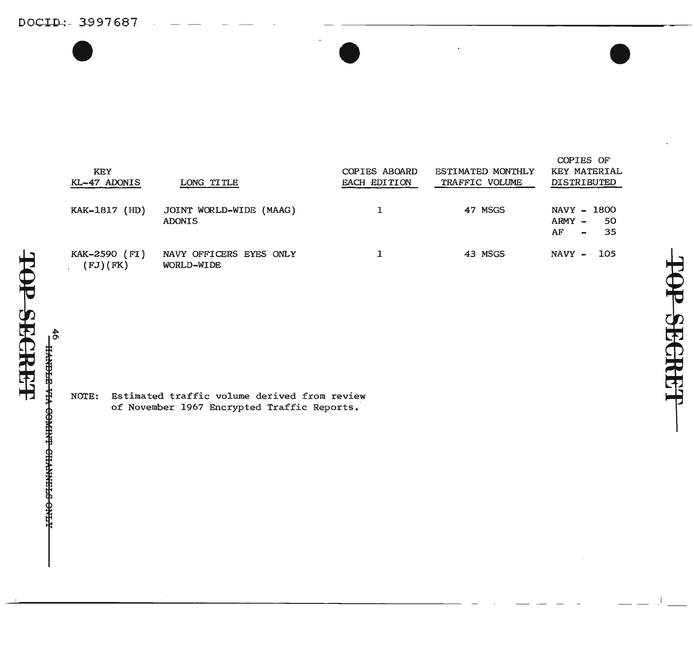DOCID: 3997687  $\bullet$   $\bullet$   $\bullet$   $\bullet$   $\bullet$   $\bullet$ 

حا

OP SECRET

46 STENN<del>YHO LNHWOO VIA STENVII</del><br>SP

| <b>KEY</b><br>KL-47 ADONIS | LONG TITLE                               | <b>COPIES ABOARD</b><br><b>EACH EDITION</b> | <b>ESTIMATED MONTHLY</b><br>TRAFFIC VOLUME | KEY MATERIAL<br><b>DISTRIBUTED</b>                         |
|----------------------------|------------------------------------------|---------------------------------------------|--------------------------------------------|------------------------------------------------------------|
| KAK-1817 (HD)              | JOINT WORLD-WIDE (MAAG)<br><b>ADONIS</b> |                                             | 47 MSGS                                    | NAVY - 1800<br>$ARMY -$<br>- 50<br>- 35<br>AF<br>$\bullet$ |
| KAK-2590 (FI)<br>(FJ)(FK)  | NAVY OFFICERS EYES ONLY<br>WORLD-WIDE    |                                             | 43 MSGS                                    | $NAVY -$<br>- 105                                          |

NOTE: Estimated traffic volume derived from review of November 1967 Encrypted Traffic Reports.

-- .j

COPIES OF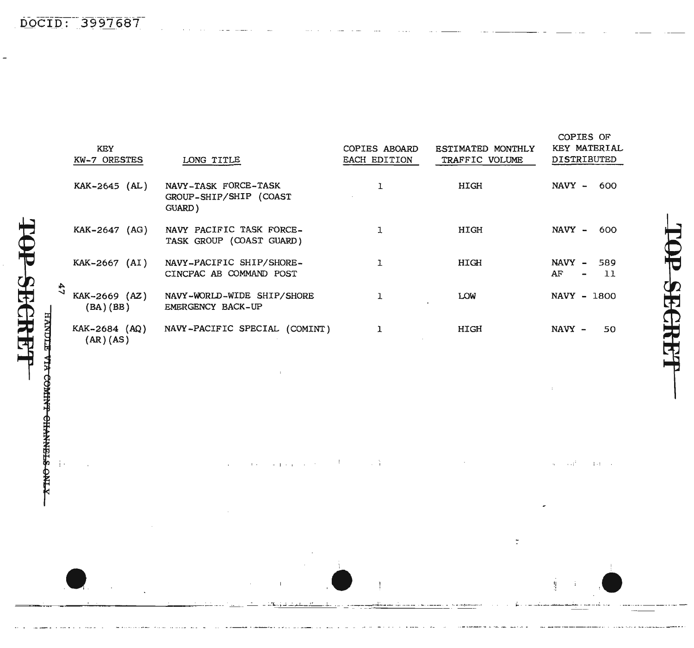DOCID: 3997687

| <b>KEY</b><br>KW-7 ORESTES | LONG TITLE                                               | COPIES ABOARD<br>EACH EDITION | ESTIMATED MONTHLY<br>TRAFFIC VOLUME | COPIES OF<br><b>KEY MATERIAL</b><br><b>DISTRIBUTED</b> |
|----------------------------|----------------------------------------------------------|-------------------------------|-------------------------------------|--------------------------------------------------------|
| KAK-2645 (AL)              | NAVY-TASK FORCE-TASK<br>GROUP-SHIP/SHIP (COAST<br>GUARD) | ı                             | HIGH                                | $NAVY -$<br>600                                        |
| (AG)<br>KAK-2647           | NAVY PACIFIC TASK FORCE-<br>TASK GROUP (COAST GUARD)     | 1                             | HIGH                                | NAVY -<br>600                                          |
| KAK-2667 (AI)              | NAVY-PACIFIC SHIP/SHORE-<br>CINCPAC AB COMMAND POST      | ı                             | HIGH                                | NAVY -<br>589<br>AF<br>11<br>$\overline{\phantom{0}}$  |
| KAK-2669 (AZ)<br>(BA)(BB)  | NAVY-WORLD-WIDE SHIP/SHORE<br>EMERGENCY BACK-UP          |                               | <b>LOW</b>                          | NAVY - 1800                                            |
| KAK-2684 (AQ)<br>(AR)(AS)  | NAVY-PACIFIC SPECIAL (COMINT)                            | ı                             | HIGH                                | NAVY -<br>50                                           |

 $\{A_{\alpha\beta},\ldots,\{A_{\alpha}\} \}$  .

 $\mathcal{L}(\mathcal{L})$  and  $\mathcal{L}(\mathcal{L})$  and  $\mathcal{L}(\mathcal{L})$  are  $\mathcal{L}(\mathcal{L})$  . Then

 $\bar{t}$ 

 $\sim 10^{11}$  eV at

 $\bar{\mathbf{I}}$ 

 $\mathbf{r}$  .

 $\mathcal{A}$ 

 $\Delta \sim 10^6$ 

 $\alpha$  $\sim$ 

C **SPGRET** 

 $\sim$ 

 $\sim 10^{11}$ 

 $\bar{\alpha}$ 

 $\widetilde{\mathbb{C}}$ 

 $\sim 100$  km s  $^{-1}$ 

SECRET **TANDLE VIA COMIN'T CHANNELS ONLY** 

 $\frac{1}{2}$  .

 $\mathcal{A}$ 

دا<br>پ

下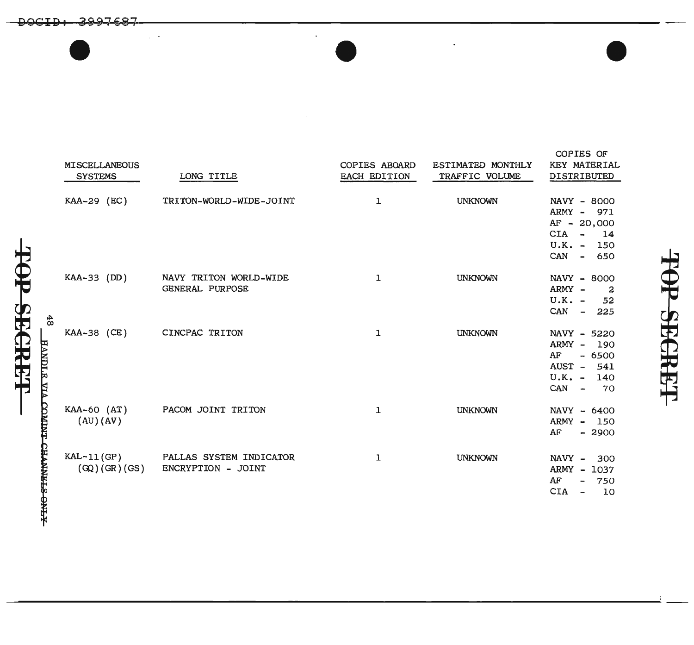|               | MISCELLANEOUS<br><b>SYSTEMS</b> | LONG TITLE                                    | <b>COPIES ABOARD</b><br>EACH EDITION | ESTIMATED MONTHLY<br>TRAFFIC VOLUME | <b>KEY MATERIAL</b><br>DISTRIBUTED                                                              |
|---------------|---------------------------------|-----------------------------------------------|--------------------------------------|-------------------------------------|-------------------------------------------------------------------------------------------------|
|               | KAA-29 (EC)                     | TRITON-WORLD-WIDE-JOINT                       | ı                                    | <b>UNKNOWN</b>                      | NAVY - 8000<br>ARMY - 971<br>AF - 20,000<br>CIA -<br>14<br>$U.K. -$<br>150<br>CAN - 650         |
| $\frac{4}{8}$ | KAA-33 (DD)                     | NAVY TRITON WORLD-WIDE<br>GENERAL PURPOSE     | ı                                    | <b>UNKNOWN</b>                      | NAVY - 8000<br>ARMY -<br>-2<br>$U.K. -$<br>52<br>CAN - 225                                      |
|               | KAA-38 (CE)                     | CINCPAC TRITON                                | 1                                    | <b>UNKNOWN</b>                      | NAVY - 5220<br>ARMY -<br>190<br>AF<br>$-6500$<br>AUST -<br>541<br>$U.K. - 140$<br>$CAN -$<br>70 |
|               | KAA-60 (AT)<br>(AU)(AV)         | PACOM JOINT TRITON                            | ı                                    | <b>UNKNOWN</b>                      | NAVY - 6400<br>ARMY -<br>150<br>AF<br>$-2900$                                                   |
|               | $KAL-11(GP)$<br>(GQ)(GR)(GS)    | PALLAS SYSTEM INDICATOR<br>ENCRYPTION - JOINT | ı                                    | <b>UNKNOWN</b>                      | NAVY -<br>300<br>ARMY - 1037<br>AF<br>750<br>CIA.<br>10                                         |

COPIES OF

TOP SECRET

TOP SECRET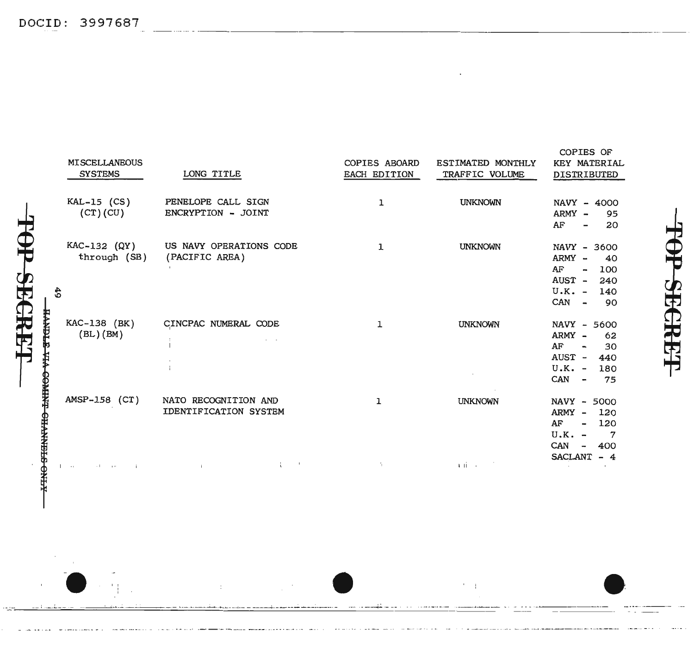FOP SEGRET

|                                         | <b>MISCELLANEOUS</b><br><b>SYSTEMS</b> | LONG TITLE                                    | COPIES ABOARD<br>EACH EDITION | ESTIMATED MONTHLY<br>TRAFFIC VOLUME                       | COPIES OF<br>KEY MATERIAL<br>DISTRIBUTED                                                                                 |
|-----------------------------------------|----------------------------------------|-----------------------------------------------|-------------------------------|-----------------------------------------------------------|--------------------------------------------------------------------------------------------------------------------------|
|                                         | $KAL-15$ (CS)<br>(CT)(CU)              | PENELOPE CALL SIGN<br>ENCRYPTION - JOINT      | ı                             | <b>UNKNOWN</b>                                            | NAVY - 4000<br>ARMY -<br>95<br>AF<br>20<br>$\overline{\phantom{a}}$                                                      |
| 49                                      | $KAC-132$ (QY)<br>through (SB)         | US NAVY OPERATIONS CODE<br>(PACIFIC AREA)     | ı                             | <b>UNKNOWN</b>                                            | NAVY - 3600<br>ARMY -<br>40<br>AF<br>100<br>$\sim$<br>AUST - 240<br>$U.K. -$<br>140<br>$CAN -$<br>- 90                   |
| <b>HANDLE VIA COMINT CHANNELS ONE-F</b> | KAC-138 (BK)<br>$(BL)$ $(BM)$          | CINCPAC NUMERAL CODE<br>$\mathbf{I}$          | 1                             | <b>UNKNOWN</b>                                            | NAVY - 5600<br>ARMY -<br>62<br>AF<br>30<br>$\sim$<br>AUST - 440<br>$U.K. - 180$<br>CAN<br>75<br>$\blacksquare$           |
|                                         | AMSP-158 (CT)                          | NATO RECOGNITION AND<br>IDENTIFICATION SYSTEM | ı                             | <b>UNKNOWN</b>                                            | NAVY - 5000<br>ARMY - 120<br>AF<br>120<br>$\sim$<br>$U.K. -$<br>$\overline{7}$<br>CAN<br>400<br>$\overline{\phantom{a}}$ |
|                                         | $\sim 100$<br>and the company          | $\sim$ 1<br>÷<br>$\mathbf{1}$                 | ÷.                            | $\mathbf{A}$ , $\mathbf{B}$ , $\mathbf{B}$ , $\mathbf{A}$ | SACLANT - 4                                                                                                              |

 $\mathcal{F}=\mathcal{F}$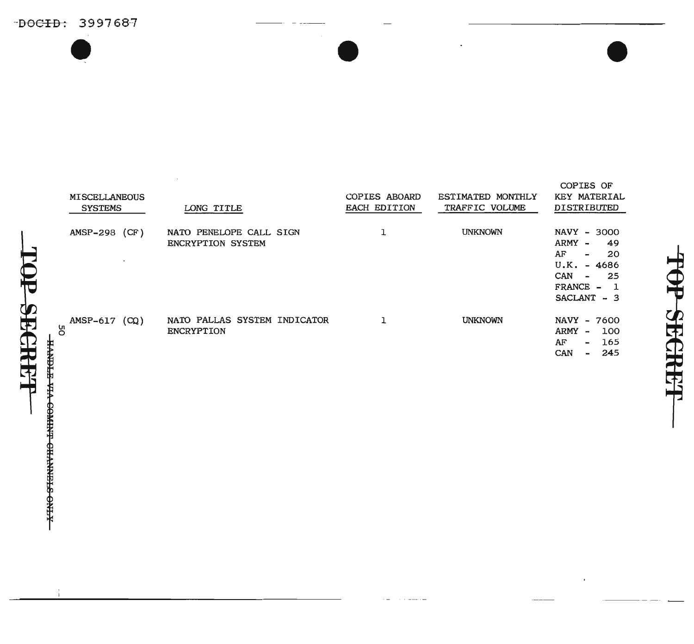$-$ DOCID: 3997687  $\bullet$ 

| <b>MISCELLANEOUS</b><br><b>SYSTEMS</b> | LONG TITLE                                          | COPIES ABOARD<br><b>EACH EDITION</b> | ESTIMATED MONTHLY<br>TRAFFIC VOLUME | <b>KEY MATERIAL</b><br>DISTRIBUTED                                                                                                              |
|----------------------------------------|-----------------------------------------------------|--------------------------------------|-------------------------------------|-------------------------------------------------------------------------------------------------------------------------------------------------|
| (CF)<br>$AMSP-298$<br>$\sim$           | NATO PENELOPE CALL SIGN<br><b>ENCRYPTION SYSTEM</b> |                                      | <b>UNKNOWN</b>                      | NAVY - 3000<br>ARMY -<br>49<br>AF<br>20<br>$\overline{\phantom{a}}$<br>U.K.<br>$-4686$<br><b>CAN</b><br>25<br>$\sim$<br>FRANCE -<br>SACLANT - 3 |
| (CQ)<br>$AMSP-617$<br>δg               | NATO PALLAS SYSTEM INDICATOR<br>ENCRYPTION          |                                      | <b>UNKNOWN</b>                      | <b>NAVY</b><br>$-7600$<br><b>ARMY</b><br>100<br>$\tilde{\phantom{a}}$<br>AF<br>165<br>$\sim$<br>CAN<br>245<br>$\overline{\phantom{0}}$          |

12 SECRET -XTRO-STERRYHO-LHWEP-OXP-E-TERF OP SECRET

COPIES OF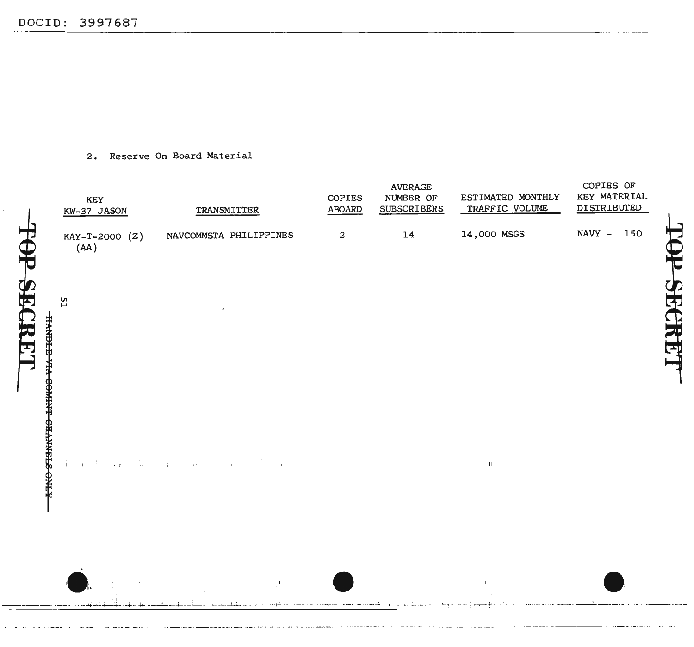**F SECRI** 

呂

2. Reserve On Board Material



**SECRE**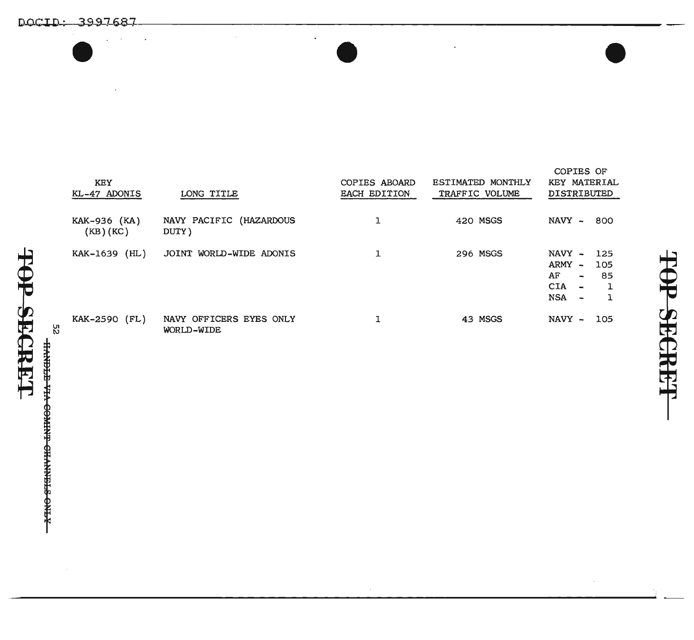DOCID: 3997687<br>DOCID: 3997687  $\bullet$   $\bullet$   $\bullet$   $\bullet$ 

| <b>KEY</b><br>KL-47 ADONIS | LONG TITLE                            | <b>COPIES ABOARD</b><br><b>EACH EDITION</b> | <b>ESTIMATED MONTHLY</b><br>TRAFFIC VOLUME | COPIES OF<br>KEY MATERIAL<br><b>DISTRIBUTED</b>                                                                              |
|----------------------------|---------------------------------------|---------------------------------------------|--------------------------------------------|------------------------------------------------------------------------------------------------------------------------------|
| KAK-936 (KA)<br>(KB)(KC)   | NAVY PACIFIC (HAZARDOUS<br>DUTY)      | 1                                           | 420 MSGS                                   | NAVY -<br>800                                                                                                                |
| (HL)<br>KAK-1639           | JOINT WORLD-WIDE ADONIS               | 1                                           | 296 MSGS                                   | NAVY -<br>125<br>ARMY -<br>105<br>AF<br>85<br>$\rightarrow$<br><b>CIA</b><br>$\mathbf{m}_\mathrm{B}$<br><b>NSA</b><br>$\sim$ |
| KAK-2590 (FL)              | NAVY OFFICERS EYES ONLY<br>WORLD-WIDE |                                             | 43 MSGS                                    | NAVY -<br>105                                                                                                                |

**\_\_\_\_\_\_\_\_\_\_\_\_\_\_\_\_\_\_\_\_\_\_\_\_\_\_\_\_\_\_\_\_\_\_\_\_\_\_\_\_\_\_\_\_\_\_\_\_\_\_\_\_\_\_**<sup>i</sup> \_\_

t\) - кано-энтино-тинио-энти-

土

OP SECRET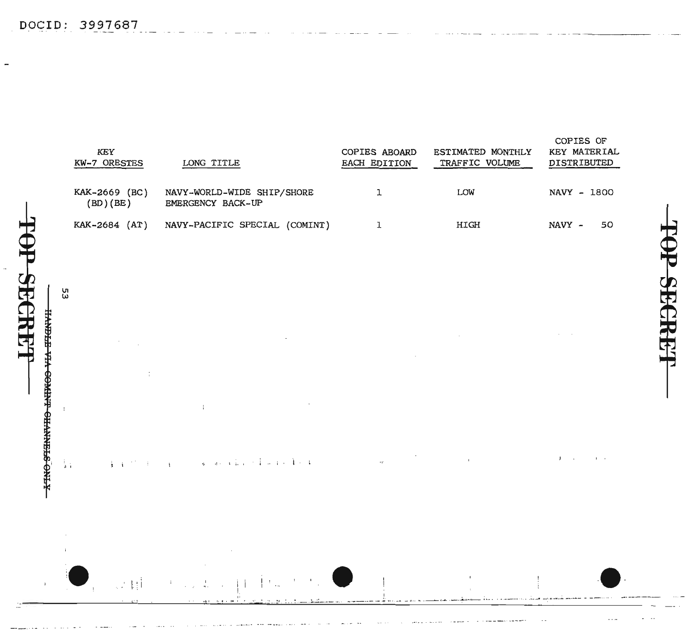TOP SECRET

 $\bar{1}$ 

|                                                 | KEY<br>KW-7 ORESTES                                                                                                              | LONG TITLE                                      | COPIES ABOARD<br>EACH EDITION | ESTIMATED MONTHLY<br>TRAFFIC VOLUME | COPIES OF<br>KEY MATERIAL<br>DISTRIBUTED |
|-------------------------------------------------|----------------------------------------------------------------------------------------------------------------------------------|-------------------------------------------------|-------------------------------|-------------------------------------|------------------------------------------|
|                                                 | KAK-2669 (BC)<br>(BD)(BE)                                                                                                        | NAVY-WORLD-WIDE SHIP/SHORE<br>EMERGENCY BACK-UP | ı                             | LOW                                 | NAVY - 1800                              |
|                                                 | KAK-2684 (AT)                                                                                                                    | NAVY-PACIFIC SPECIAL (COMINT)                   | 1                             | HIGH                                | NAVY -<br>50                             |
|                                                 |                                                                                                                                  |                                                 |                               |                                     |                                          |
|                                                 | 53                                                                                                                               |                                                 |                               |                                     |                                          |
|                                                 |                                                                                                                                  |                                                 |                               |                                     |                                          |
| - <del>KTNO STENNVIIO LININOS VIA ETENVII</del> | ÷                                                                                                                                |                                                 |                               |                                     |                                          |
|                                                 |                                                                                                                                  | $\cdot$                                         |                               |                                     |                                          |
|                                                 |                                                                                                                                  |                                                 |                               |                                     |                                          |
|                                                 | $\frac{1}{4}$ .<br>$\frac{1}{2}$ , $\frac{1}{4}$ , $\frac{1}{2}$ , $\frac{1}{2}$ , $\frac{1}{2}$ , $\frac{1}{2}$ , $\frac{1}{4}$ | $\mathcal{A}$ , and a factor of the results of  | $\sim$ $\Gamma$               | $\mathbf{L}$                        | $J \sim$<br><b>Contract District</b>     |
|                                                 |                                                                                                                                  |                                                 |                               |                                     |                                          |
|                                                 | $\mathbf{I}$                                                                                                                     | $\sim$                                          |                               |                                     |                                          |

 $\int\,d\tau_{\rm esc}$ 

 $\cdot$ 

 $\mathbf{i}$ 

ing and

 $\frac{1}{2}$ 

 $\mathbb{R}^2\mathbb{N}^4$ 

 $\blacksquare$